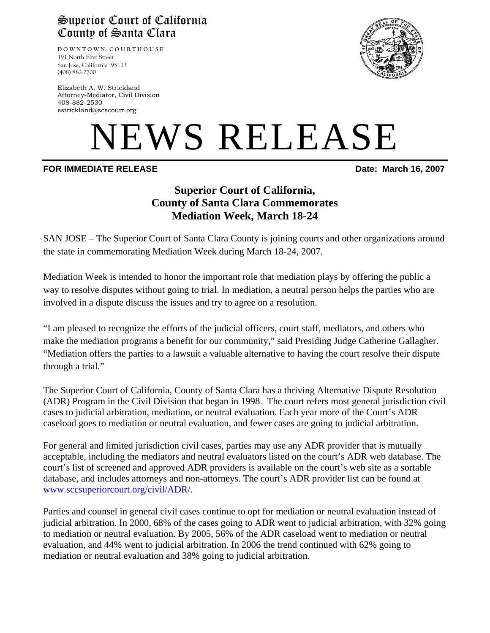## Superior Court of California County of Santa Clara

**DOWNTOWN COURTHOUSE** 191 North First Street San Jose, California 95113 (408) 882-2700

Elizabeth A. W. Strickland Attorney-Mediator, Civil Division 408-882-2530 estrickland@scscourt.org

# NEWS RELEASE

#### **FOR IMMEDIATE RELEASE 2007 Date: March 16, 2007**

### **Superior Court of California, County of Santa Clara Commemorates Mediation Week, March 18-24**

SAN JOSE – The Superior Court of Santa Clara County is joining courts and other organizations around the state in commemorating Mediation Week during March 18-24, 2007.

Mediation Week is intended to honor the important role that mediation plays by offering the public a way to resolve disputes without going to trial. In mediation, a neutral person helps the parties who are involved in a dispute discuss the issues and try to agree on a resolution.

"I am pleased to recognize the efforts of the judicial officers, court staff, mediators, and others who make the mediation programs a benefit for our community," said Presiding Judge Catherine Gallagher. "Mediation offers the parties to a lawsuit a valuable alternative to having the court resolve their dispute through a trial."

The Superior Court of California, County of Santa Clara has a thriving Alternative Dispute Resolution (ADR) Program in the Civil Division that began in 1998. The court refers most general jurisdiction civil cases to judicial arbitration, mediation, or neutral evaluation. Each year more of the Court's ADR caseload goes to mediation or neutral evaluation, and fewer cases are going to judicial arbitration.

For general and limited jurisdiction civil cases, parties may use any ADR provider that is mutually acceptable, including the mediators and neutral evaluators listed on the court's ADR web database. The court's list of screened and approved ADR providers is available on the court's web site as a sortable database, and includes attorneys and non-attorneys. The court's ADR provider list can be found at www.sccsuperiorcourt.org/civil/ADR/.

Parties and counsel in general civil cases continue to opt for mediation or neutral evaluation instead of judicial arbitration. In 2000, 68% of the cases going to ADR went to judicial arbitration, with 32% going to mediation or neutral evaluation. By 2005, 56% of the ADR caseload went to mediation or neutral evaluation, and 44% went to judicial arbitration. In 2006 the trend continued with 62% going to mediation or neutral evaluation and 38% going to judicial arbitration.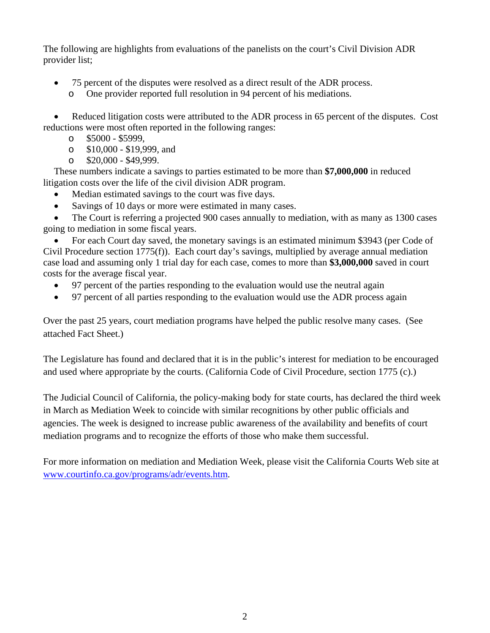The following are highlights from evaluations of the panelists on the court's Civil Division ADR provider list;

- 75 percent of the disputes were resolved as a direct result of the ADR process.
	- o One provider reported full resolution in 94 percent of his mediations.

• Reduced litigation costs were attributed to the ADR process in 65 percent of the disputes. Cost reductions were most often reported in the following ranges:

- o \$5000 \$5999,
- o \$10,000 \$19,999, and
- $\degree$  \$20,000 \$49,999.

These numbers indicate a savings to parties estimated to be more than **\$7,000,000** in reduced litigation costs over the life of the civil division ADR program.

- Median estimated savings to the court was five days.
- Savings of 10 days or more were estimated in many cases.

• The Court is referring a projected 900 cases annually to mediation, with as many as 1300 cases going to mediation in some fiscal years.

• For each Court day saved, the monetary savings is an estimated minimum \$3943 (per Code of Civil Procedure section 1775(f)). Each court day's savings, multiplied by average annual mediation case load and assuming only 1 trial day for each case, comes to more than **\$3,000,000** saved in court costs for the average fiscal year.

- 97 percent of the parties responding to the evaluation would use the neutral again
- 97 percent of all parties responding to the evaluation would use the ADR process again

Over the past 25 years, court mediation programs have helped the public resolve many cases. (See attached Fact Sheet.)

The Legislature has found and declared that it is in the public's interest for mediation to be encouraged and used where appropriate by the courts. (California Code of Civil Procedure, section 1775 (c).)

The Judicial Council of California, the policy-making body for state courts, has declared the third week in March as Mediation Week to coincide with similar recognitions by other public officials and agencies. The week is designed to increase public awareness of the availability and benefits of court mediation programs and to recognize the efforts of those who make them successful.

For more information on mediation and Mediation Week, please visit the California Courts Web site at www.courtinfo.ca.gov/programs/adr/events.htm.